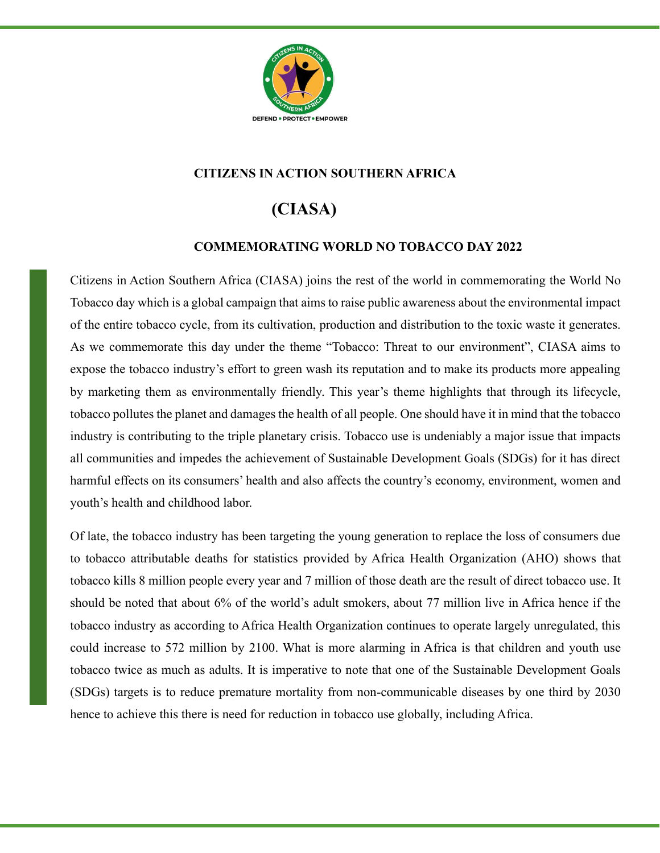

## **CITIZENS IN ACTION SOUTHERN AFRICA**

## **(CIASA)**

## **COMMEMORATING WORLD NO TOBACCO DAY 2022**

Citizens in Action Southern Africa (CIASA) joins the rest of the world in commemorating the World No Tobacco day which is a global campaign that aims to raise public awareness about the environmental impact of the entire tobacco cycle, from its cultivation, production and distribution to the toxic waste it generates. As we commemorate this day under the theme "Tobacco: Threat to our environment", CIASA aims to expose the tobacco industry's effort to green wash its reputation and to make its products more appealing by marketing them as environmentally friendly. This year's theme highlights that through its lifecycle, tobacco pollutes the planet and damages the health of all people. One should have it in mind that the tobacco industry is contributing to the triple planetary crisis. Tobacco use is undeniably a major issue that impacts all communities and impedes the achievement of Sustainable Development Goals (SDGs) for it has direct harmful effects on its consumers' health and also affects the country's economy, environment, women and youth's health and childhood labor.

Of late, the tobacco industry has been targeting the young generation to replace the loss of consumers due to tobacco attributable deaths for statistics provided by Africa Health Organization (AHO) shows that tobacco kills 8 million people every year and 7 million of those death are the result of direct tobacco use. It should be noted that about 6% of the world's adult smokers, about 77 million live in Africa hence if the tobacco industry as according to Africa Health Organization continues to operate largely unregulated, this could increase to 572 million by 2100. What is more alarming in Africa is that children and youth use tobacco twice as much as adults. It is imperative to note that one of the Sustainable Development Goals (SDGs) targets is to reduce premature mortality from non-communicable diseases by one third by 2030 hence to achieve this there is need for reduction in tobacco use globally, including Africa.